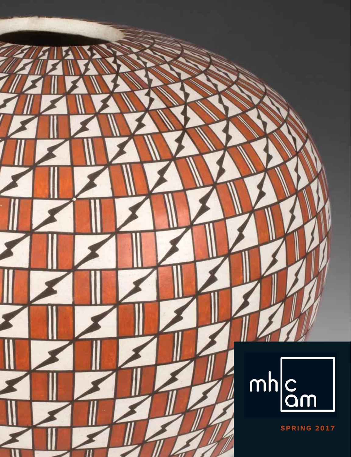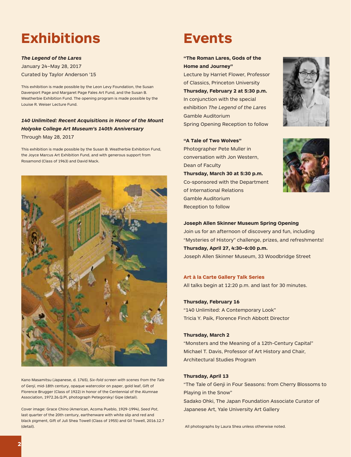# **Exhibitions**

#### *The Legend of the Lares*

January 24–May 28, 2017 Curated by Taylor Anderson '15

This exhibition is made possible by the Leon Levy Foundation, the Susan Davenport Page and Margaret Page Fales Art Fund, and the Susan B. Weatherbie Exhibition Fund. The opening program is made possible by the Louise R. Weiser Lecture Fund.

## *140 Unlimited: Recent Acquisitions in Honor of the Mount Holyoke College Art Museum's 140th Anniversary* Through May 28, 2017

This exhibition is made possible by the Susan B. Weatherbie Exhibition Fund, the Joyce Marcus Art Exhibition Fund, and with generous support from Rosamond (Class of 1963) and David Mack.



Kano Masamitsu (Japanese, d. 1765), *Six-fold screen with scenes from the Tale of Genji*, mid-18th century, opaque watercolor on paper, gold leaf, Gift of Florence Brugger (Class of 1922) in honor of the Centennial of the Alumnae Association, 1972.26.Q.PI, photograph Petegorsky/ Gipe (detail).

Cover image: Grace Chino (American, Acoma Pueblo, 1929-1994), *Seed Pot*, last quarter of the 20th century, earthenware with white slip and red and black pigment, Gift of Juli Shea Towell (Class of 1955) and Gil Towell, 2016.12.7 (detail). All photographs by Laura Shea unless otherwise noted.

# **Events**

## **"The Roman Lares, Gods of the Home and Journey"**

Lecture by Harriet Flower, Professor of Classics, Princeton University **Thursday, February 2 at 5:30 p.m.** In conjunction with the special exhibition *The Legend of the Lares* Gamble Auditorium Spring Opening Reception to follow

**"A Tale of Two Wolves"** Photographer Pete Muller in conversation with Jon Western,

of International Relations Gamble Auditorium Reception to follow

**Thursday, March 30 at 5:30 p.m.** Co-sponsored with the Department

Dean of Faculty





## **Joseph Allen Skinner Museum Spring Opening**

Join us for an afternoon of discovery and fun, including "Mysteries of History" challenge, prizes, and refreshments! **Thursday, April 27, 4:30–6:00 p.m.**

Joseph Allen Skinner Museum, 33 Woodbridge Street

#### **Art à la Carte Gallery Talk Series**

All talks begin at 12:20 p.m. and last for 30 minutes.

#### **Thursday, February 16**

"140 Unlimited: A Contemporary Look" Tricia Y. Paik, Florence Finch Abbott Director

### **Thursday, March 2**

"Monsters and the Meaning of a 12th-Century Capital" Michael T. Davis, Professor of Art History and Chair, Architectural Studies Program

#### **Thursday, April 13**

"The Tale of Genji in Four Seasons: from Cherry Blossoms to Playing in the Snow"

Sadako Ohki, The Japan Foundation Associate Curator of Japanese Art, Yale University Art Gallery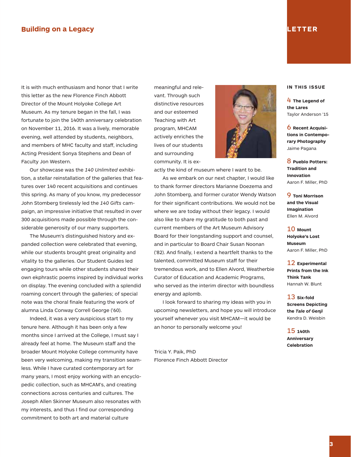### **Building on a Legacy**

It is with much enthusiasm and honor that I write this letter as the new Florence Finch Abbott Director of the Mount Holyoke College Art Museum. As my tenure began in the fall, I was fortunate to join the 140th anniversary celebration on November 11, 2016. It was a lively, memorable evening, well attended by students, neighbors, and members of MHC faculty and staff, including Acting President Sonya Stephens and Dean of Faculty Jon Western.

 Our showcase was the *140 Unlimited* exhibition, a stellar reinstallation of the galleries that features over 140 recent acquisitions and continues this spring. As many of you know, my predecessor John Stomberg tirelessly led the *140 Gifts* campaign, an impressive initiative that resulted in over 300 acquisitions made possible through the considerable generosity of our many supporters.

 The Museum's distinguished history and expanded collection were celebrated that evening, while our students brought great originality and vitality to the galleries. Our Student Guides led engaging tours while other students shared their own ekphrastic poems inspired by individual works on display. The evening concluded with a splendid roaming concert through the galleries; of special note was the choral finale featuring the work of alumna Linda Conway Correll George ('60).

 Indeed, it was a very auspicious start to my tenure here. Although it has been only a few months since I arrived at the College, I must say I already feel at home. The Museum staff and the broader Mount Holyoke College community have been very welcoming, making my transition seamless. While I have curated contemporary art for many years, I most enjoy working with an encyclopedic collection, such as MHCAM's, and creating connections across centuries and cultures. The Joseph Allen Skinner Museum also resonates with my interests, and thus I find our corresponding commitment to both art and material culture

meaningful and relevant. Through such distinctive resources and our esteemed Teaching with Art program, MHCAM actively enriches the lives of our students and surrounding community. It is ex-

actly the kind of museum where I want to be.

 As we embark on our next chapter, I would like to thank former directors Marianne Doezema and John Stomberg, and former curator Wendy Watson for their significant contributions. We would not be where we are today without their legacy. I would also like to share my gratitude to both past and current members of the Art Museum Advisory Board for their longstanding support and counsel, and in particular to Board Chair Susan Noonan ('82). And finally, I extend a heartfelt thanks to the talented, committed Museum staff for their tremendous work, and to Ellen Alvord, Weatherbie Curator of Education and Academic Programs, who served as the interim director with boundless energy and aplomb.

 I look forward to sharing my ideas with you in upcoming newsletters, and hope you will introduce yourself whenever you visit MHCAM—it would be an honor to personally welcome you!

Tricia Y. Paik, PhD Florence Finch Abbott Director

#### **IN THIS ISSUE**

4 **The Legend of the Lares** Taylor Anderson '15

6 **Recent Acquisitions in Contemporary Photography** Jaime Pagana

8 **Pueblo Potters: Tradition and Innovation** Aaron F. Miller, PhD

9 **Toni Morrison and the Visual Imagination** Ellen M. Alvord

10 **Mount Holyoke's Lost Museum** Aaron F. Miller, PhD

12 **Experimental Prints from the Ink Think Tank** Hannah W. Blunt

13 **Six-fold Screens Depicting the** *Tale of Genji* Kendra D. Weisbin

15 **140th Anniversary Celebration**

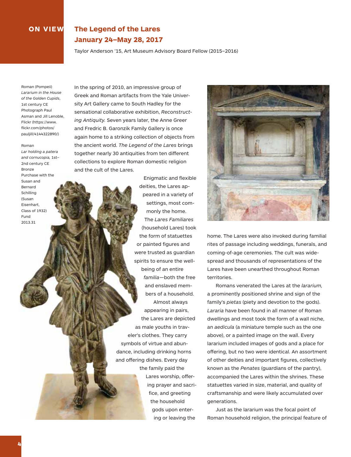## **ON VIEW The Legend of the Lares January 24–May 28, 2017**

Taylor Anderson '15, Art Museum Advisory Board Fellow (2015–2016)

Roman (Pompeii) *Lararium in the House of the Golden Cupids*, 1st century CE Photograph Paul Asman and Jill Lenoble, Flickr (https://www. flickr.com/photos/ pauljill/4144322890/)

#### Roman

*Lar holding a patera and cornucopia,* 1st– 2nd century CE Bronze Purchase with the Susan and Bernard Schilling (Susan Eisenhart, Class of 1932) Fund 2013.31

In the spring of 2010, an impressive group of Greek and Roman artifacts from the Yale University Art Gallery came to South Hadley for the sensational collaborative exhibition, *Reconstructing Antiquity.* Seven years later, the Anne Greer and Fredric B. Garonzik Family Gallery is once again home to a striking collection of objects from the ancient world. *The Legend of the Lares* brings together nearly 30 antiquities from ten different collections to explore Roman domestic religion and the cult of the Lares.

> Enigmatic and flexible deities, the Lares appeared in a variety of settings, most commonly the home. The *Lares Familiares* (household Lares) took the form of statuettes or painted figures and were trusted as guardian spirits to ensure the wellbeing of an entire *familia*—both the free and enslaved members of a household. Almost always appearing in pairs, the Lares are depicted as male youths in traveler's clothes. They carry symbols of virtue and abundance, including drinking horns and offering dishes. Every day the family paid the Lares worship, offering prayer and sacrifice, and greeting the household gods upon entering or leaving the



home. The Lares were also invoked during familial rites of passage including weddings, funerals, and coming-of-age ceremonies. The cult was widespread and thousands of representations of the Lares have been unearthed throughout Roman territories.

 Romans venerated the Lares at the *lararium,* a prominently positioned shrine and sign of the family's *pietas* (piety and devotion to the gods). *Lararia* have been found in all manner of Roman dwellings and most took the form of a wall niche, an *aedicula* (a miniature temple such as the one above), or a painted image on the wall. Every lararium included images of gods and a place for offering, but no two were identical. An assortment of other deities and important figures, collectively known as the *Penates* (guardians of the pantry), accompanied the Lares within the shrines. These statuettes varied in size, material, and quality of craftsmanship and were likely accumulated over generations.

 Just as the lararium was the focal point of Roman household religion, the principal feature of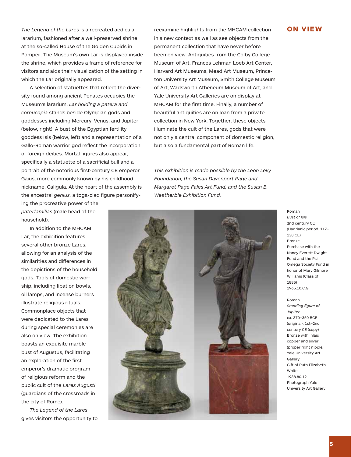The Legend of the Lares is a recreated aedicula **Chami**ne highlights from the MHCAM collection **ON VIEW** lararium, fashioned after a well-preserved shrine at the so-called House of the Golden Cupids in Pompeii. The Museum's own Lar is displayed inside the shrine, which provides a frame of reference for visitors and aids their visualization of the setting in which the Lar originally appeared.

 A selection of statuettes that reflect the diversity found among ancient Penates occupies the Museum's lararium. *Lar holding a patera and cornucopia* stands beside Olympian gods and goddesses including Mercury, Venus, and Jupiter (below, right). A bust of the Egyptian fertility goddess Isis (below, left) and a representation of a Gallo-Roman warrior god reflect the incorporation of foreign deities. Mortal figures also appear, specifically a statuette of a sacrificial bull and a portrait of the notorious first-century CE emperor Gaius, more commonly known by his childhood nickname, Caligula. At the heart of the assembly is the ancestral *genius,* a toga-clad figure personifyin a new context as well as see objects from the permanent collection that have never before been on view. Antiquities from the Colby College Museum of Art, Frances Lehman Loeb Art Center, Harvard Art Museums, Mead Art Museum, Princeton University Art Museum, Smith College Museum of Art, Wadsworth Atheneum Museum of Art, and Yale University Art Galleries are on display at MHCAM for the first time. Finally, a number of beautiful antiquities are on loan from a private collection in New York. Together, these objects illuminate the cult of the Lares, gods that were not only a central component of domestic religion, but also a fundamental part of Roman life.

*This exhibition is made possible by the Leon Levy Foundation, the Susan Davenport Page and Margaret Page Fales Art Fund, and the Susan B. Weatherbie Exhibition Fund.* 

—————————————————————————————



 In addition to the MHCAM Lar, the exhibition features several other bronze Lares, allowing for an analysis of the similarities and differences in the depictions of the household gods. Tools of domestic worship, including libation bowls, oil lamps, and incense burners illustrate religious rituals. Commonplace objects that were dedicated to the Lares during special ceremonies are also on view. The exhibition boasts an exquisite marble bust of Augustus, facilitating an exploration of the first emperor's dramatic program of religious reform and the public cult of the *Lares Augusti* (guardians of the crossroads in the city of Rome).

 *The Legend of the Lares* gives visitors the opportunity to



Roman *Bust of Isis* 2nd century CE (Hadrianic period, 117– 138 CE) Bronze Purchase with the Nancy Everett Dwight Fund and the Psi Omega Society Fund in honor of Mary Gilmore Williams (Class of 1885) 1965.10.C.G

Roman *Standing figure of Jupiter*  ca. 370–360 BCE (original); 1st–2nd century CE (copy) Bronze with inlaid copper and silver (proper right nipple) Yale University Art Gallery Gift of Ruth Elizabeth White 1988.80.12 Photograph Yale University Art Gallery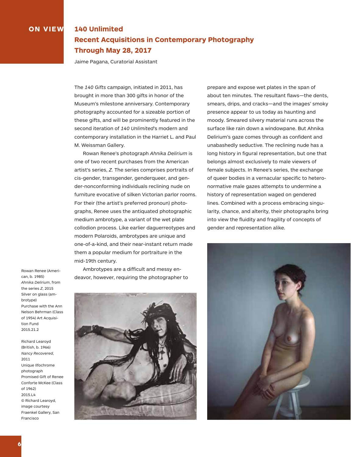## **ON VIEW 140 Unlimited Recent Acquisitions in Contemporary Photography Through May 28, 2017**

Jaime Pagana, Curatorial Assistant

The *140 Gifts* campaign, initiated in 2011, has brought in more than 300 gifts in honor of the Museum's milestone anniversary. Contemporary photography accounted for a sizeable portion of these gifts, and will be prominently featured in the second iteration of *140 Unlimited*'s modern and contemporary installation in the Harriet L. and Paul M. Weissman Gallery.

 Rowan Renee's photograph *Ahnika Delirium* is one of two recent purchases from the American artist's series, *Z.* The series comprises portraits of cis-gender, transgender, genderqueer, and gender-nonconforming individuals reclining nude on furniture evocative of silken Victorian parlor rooms. For their (the artist's preferred pronoun) photographs, Renee uses the antiquated photographic medium ambrotype, a variant of the wet plate collodion process. Like earlier daguerreotypes and modern Polaroids, ambrotypes are unique and one-of-a-kind, and their near-instant return made them a popular medium for portraiture in the mid-19th century.

Rowan Renee (American, b. 1985) *Ahnika Delirium*, from the series *Z*, 2015 Silver on glass (ambrotype) Purchase with the Ann Nelson Behrman (Class of 1954) Art Acquisition Fund 2015.21.2

Richard Learoyd (British, b. 1966) *Nancy Recovered*, 2011 Unique Ilfochrome photograph Promised Gift of Renee Conforte McKee (Class of 1962) 2015.L4 © Richard Learoyd, image courtesy Fraenkel Gallery, San Francisco

 Ambrotypes are a difficult and messy endeavor, however, requiring the photographer to



prepare and expose wet plates in the span of about ten minutes. The resultant flaws—the dents, smears, drips, and cracks—and the images' smoky presence appear to us today as haunting and moody. Smeared silvery material runs across the surface like rain down a windowpane. But Ahnika Delirium's gaze comes through as confident and unabashedly seductive. The reclining nude has a long history in figural representation, but one that belongs almost exclusively to male viewers of female subjects. In Renee's series, the exchange of queer bodies in a vernacular specific to heteronormative male gazes attempts to undermine a history of representation waged on gendered lines. Combined with a process embracing singularity, chance, and alterity, their photographs bring into view the fluidity and fragility of concepts of gender and representation alike.

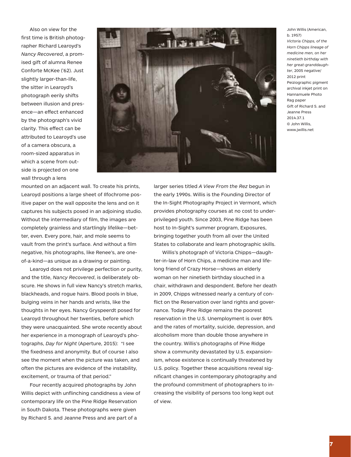Also on view for the first time is British photographer Richard Learoyd's *Nancy Recovered*, a promised gift of alumna Renee Conforte McKee ('62). Just slightly larger-than-life, the sitter in Learoyd's photograph eerily shifts between illusion and presence—an effect enhanced by the photograph's vivid clarity. This effect can be attributed to Learoyd's use of a camera obscura, a room-sized apparatus in which a scene from outside is projected on one wall through a lens



John Willis (American, b. 1957) *Victoria Chipps, of the Horn Chipps lineage of medicine men, on her ninetieth birthday with her great-granddaughter*, 2005 negative/ 2012 print Peiziographic pigment archival inkjet print on Hannamuele Photo Rag paper Gift of Richard S. and Jeanne Press 2014.37.1 © John Willis, www.jwillis.net

mounted on an adjacent wall. To create his prints, Learoyd positions a large sheet of Ilfochrome positive paper on the wall opposite the lens and on it captures his subjects posed in an adjoining studio. Without the intermediary of film, the images are completely grainless and startlingly lifelike—better, even. Every pore, hair, and mole seems to vault from the print's surface. And without a film negative, his photographs, like Renee's, are oneof-a-kind—as unique as a drawing or painting.

 Learoyd does not privilege perfection or purity, and the title, *Nancy Recovered*, is deliberately obscure. He shows in full view Nancy's stretch marks, blackheads, and rogue hairs. Blood pools in blue, bulging veins in her hands and wrists, like the thoughts in her eyes. Nancy Gryspeerdt posed for Learoyd throughout her twenties, before which they were unacquainted. She wrote recently about her experience in a monograph of Learoyd's photographs, *Day for Night* (Aperture, 2015): "I see the fixedness and anonymity. But of course I also see the moment when the picture was taken, and often the pictures are evidence of the instability, excitement, or trauma of that period."

 Four recently acquired photographs by John Willis depict with unflinching candidness a view of contemporary life on the Pine Ridge Reservation in South Dakota. These photographs were given by Richard S. and Jeanne Press and are part of a

larger series titled *A View From the Rez* begun in the early 1990s. Willis is the Founding Director of the In-Sight Photography Project in Vermont, which provides photography courses at no cost to underprivileged youth. Since 2003, Pine Ridge has been host to In-Sight's summer program, Exposures, bringing together youth from all over the United States to collaborate and learn photographic skills.

 Willis's photograph of Victoria Chipps—daughter-in-law of Horn Chips, a medicine man and lifelong friend of Crazy Horse—shows an elderly woman on her ninetieth birthday slouched in a chair, withdrawn and despondent. Before her death in 2009, Chipps witnessed nearly a century of conflict on the Reservation over land rights and governance. Today Pine Ridge remains the poorest reservation in the U.S. Unemployment is over 80% and the rates of mortality, suicide, depression, and alcoholism more than double those anywhere in the country. Willis's photographs of Pine Ridge show a community devastated by U.S. expansionism, whose existence is continually threatened by U.S. policy. Together these acquisitions reveal significant changes in contemporary photography and the profound commitment of photographers to increasing the visibility of persons too long kept out of view.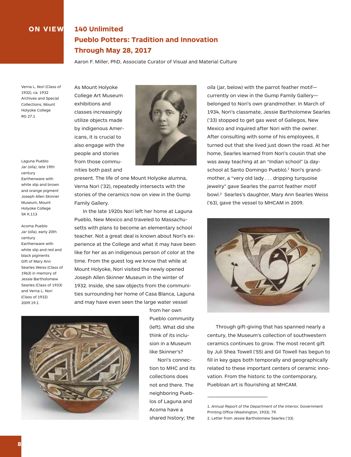## **ON VIEW 140 Unlimited Pueblo Potters: Tradition and Innovation Through May 28, 2017**

Aaron F. Miller, PhD, Associate Curator of Visual and Material Culture

Verna L. Nori (Class of 1932), ca. 1932 Archives and Special Collections, Mount Holyoke College RG 27.1

Laguna Pueblo *Jar (olla)*, late 19th century Earthenware with white slip and brown and orange pigment Joseph Allen Skinner Museum, Mount Holyoke College SK K.113

Acoma Pueblo *Jar (olla)*, early 20th century Earthenware with white slip and red and black pigments Gift of Mary Ann Searles Weiss (Class of 1963) in memory of Jessie Bartholomew Searles (Class of 1933) and Verna L. Nori (Class of 1932) 2009.19.1

As Mount Holyoke College Art Museum exhibitions and classes increasingly utilize objects made by indigenous Americans, it is crucial to also engage with the people and stories from those communities both past and



present. The life of one Mount Holyoke alumna, Verna Nori ('32), repeatedly intersects with the stories of the ceramics now on view in the Gump Family Gallery.

 In the late 1920s Nori left her home at Laguna Pueblo, New Mexico and traveled to Massachusetts with plans to become an elementary school teacher. Not a great deal is known about Nori's experience at the College and what it may have been like for her as an indigenous person of color at the time. From the guest log we know that while at Mount Holyoke, Nori visited the newly opened Joseph Allen Skinner Museum in the winter of 1932. Inside, she saw objects from the communities surrounding her home of Casa Blanca, Laguna and may have even seen the large water vessel



from her own Pueblo community (left). What did she think of its inclusion in a Museum like Skinner's?

Nori's connection to MHC and its collections does not end there. The neighboring Pueblos of Laguna and Acoma have a shared history; the

*olla* (jar, below) with the parrot feather motif currently on view in the Gump Family Gallery belonged to Nori's own grandmother. In March of 1934, Nori's classmate, Jessie Bartholomew Searles ('33) stopped to get gas west of Gallegos, New Mexico and inquired after Nori with the owner. After consulting with some of his employees, it turned out that she lived just down the road. At her home, Searles learned from Nori's cousin that she was away teaching at an "Indian school" (a dayschool at Santo Domingo Pueblo).<sup>1</sup> Nori's grandmother, a "very old lady . . . dripping turquoise jewelry" gave Searles the parrot feather motif bowl.2 Searles's daughter, Mary Ann Searles Weiss ('63), gave the vessel to MHCAM in 2009.



 Through gift-giving that has spanned nearly a century, the Museum's collection of southwestern ceramics continues to grow. The most recent gift by Juli Shea Towell ('55) and Gil Towell has begun to fill in key gaps both temporally and geographically related to these important centers of ceramic innovation. From the historic to the contemporary, Puebloan art is flourishing at MHCAM.

1. *Annual Report of the Department of the Interior,* Government Printing Office (Washington, 1933), 79.

2. Letter from Jessie Bartholomew Searles ('33).

—————————————————————————————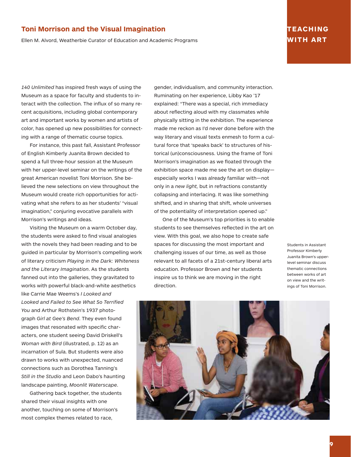## **Toni Morrison and the Visual Imagination**

Ellen M. Alvord, Weatherbie Curator of Education and Academic Programs

## **TEACHING WITH ART**

*140 Unlimited* has inspired fresh ways of using the Museum as a space for faculty and students to interact with the collection. The influx of so many recent acquisitions, including global contemporary art and important works by women and artists of color, has opened up new possibilities for connecting with a range of thematic course topics.

 For instance, this past fall, Assistant Professor of English Kimberly Juanita Brown decided to spend a full three-hour session at the Museum with her upper-level seminar on the writings of the great American novelist Toni Morrison. She believed the new selections on view throughout the Museum would create rich opportunities for activating what she refers to as her students' "visual imagination," conjuring evocative parallels with Morrison's writings and ideas.

 Visiting the Museum on a warm October day, the students were asked to find visual analogies with the novels they had been reading and to be guided in particular by Morrison's compelling work of literary criticism *Playing in the Dark: Whiteness and the Literary Imagination*. As the students fanned out into the galleries, they gravitated to works with powerful black-and-white aesthetics like Carrie Mae Weems's *I Looked and Looked and Failed to See What So Terrified You* and Arthur Rothstein's 1937 photograph *Girl at Gee's Bend*. They even found images that resonated with specific characters, one student seeing David Driskell's *Woman with Bird* (illustrated, p. 12) as an incarnation of Sula. But students were also drawn to works with unexpected, nuanced connections such as Dorothea Tanning's *Still in the Studio* and Leon Dabo's haunting landscape painting, *Moonlit Waterscape*.

 Gathering back together, the students shared their visual insights with one another, touching on some of Morrison's most complex themes related to race,

gender, individualism, and community interaction. Ruminating on her experience, Libby Kao '17 explained: "There was a special, rich immediacy about reflecting aloud with my classmates while physically sitting in the exhibition. The experience made me reckon as I'd never done before with the way literary and visual texts enmesh to form a cultural force that 'speaks back' to structures of historical (un)consciousness. Using the frame of Toni Morrison's imagination as we floated through the exhibition space made me see the art on display especially works I was already familiar with—not only in a *new light,* but in refractions constantly collapsing and interlacing. It was like something shifted, and in sharing that shift, whole universes of the potentiality of interpretation opened up."

 One of the Museum's top priorities is to enable students to see themselves reflected in the art on view. With this goal, we also hope to create safe spaces for discussing the most important and challenging issues of our time, as well as those relevant to all facets of a 21st-century liberal arts education. Professor Brown and her students inspire us to think we are moving in the right direction.

Students in Assistant Professor Kimberly Juanita Brown's upperlevel seminar discuss thematic connections between works of art on view and the writings of Toni Morrison.

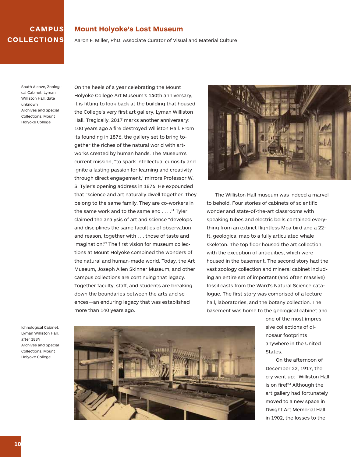## **CAMPUS COLLECTIONS**

#### **Mount Holyoke's Lost Museum**

Aaron F. Miller, PhD, Associate Curator of Visual and Material Culture

South Alcove, Zoological Cabinet, Lyman Williston Hall, date unknown Archives and Special Collections, Mount Holyoke College

On the heels of a year celebrating the Mount Holyoke College Art Museum's 140th anniversary, it is fitting to look back at the building that housed the College's very first art gallery, Lyman Williston Hall. Tragically, 2017 marks another anniversary: 100 years ago a fire destroyed Williston Hall. From its founding in 1876, the gallery set to bring together the riches of the natural world with artworks created by human hands. The Museum's current mission, "to spark intellectual curiosity and ignite a lasting passion for learning and creativity through direct engagement," mirrors Professor W. S. Tyler's opening address in 1876. He expounded that "science and art naturally dwell together. They belong to the same family. They are co-workers in the same work and to the same end . . . . "1 Tyler claimed the analysis of art and science "develops and disciplines the same faculties of observation and reason, together with . . . those of taste and imagination."2 The first vision for museum collections at Mount Holyoke combined the wonders of the natural and human-made world. Today, the Art Museum, Joseph Allen Skinner Museum, and other campus collections are continuing that legacy. Together faculty, staff, and students are breaking down the boundaries between the arts and sciences—an enduring legacy that was established more than 140 years ago.



 The Williston Hall museum was indeed a marvel to behold. Four stories of cabinets of scientific wonder and state-of-the-art classrooms with speaking tubes and electric bells contained everything from an extinct flightless Moa bird and a 22 ft. geological map to a fully articulated whale skeleton. The top floor housed the art collection, with the exception of antiquities, which were housed in the basement. The second story had the vast zoology collection and mineral cabinet including an entire set of important (and often massive) fossil casts from the Ward's Natural Science catalogue. The first story was comprised of a lecture hall, laboratories, and the botany collection. The basement was home to the geological cabinet and

Ichnological Cabinet, Lyman Williston Hall, after 1884 Archives and Special Collections, Mount Holyoke College



one of the most impressive collections of dinosaur footprints anywhere in the United States.

On the afternoon of December 22, 1917, the cry went up: "Williston Hall is on fire!"3 Although the art gallery had fortunately moved to a new space in Dwight Art Memorial Hall in 1902, the losses to the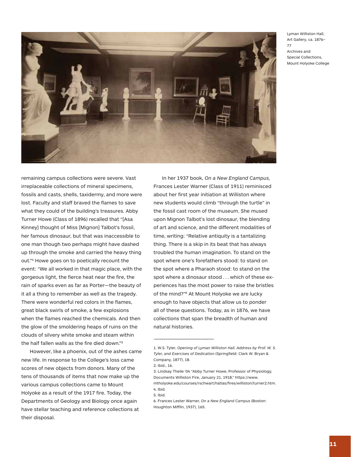Lyman Williston Hall, Art Gallery, ca. 1876– 77 Archives and Special Collections, Mount Holyoke College



irreplaceable collections of mineral specimens, fossils and casts, shells, taxidermy, and more were lost. Faculty and staff braved the flames to save what they could of the building's treasures. Abby Turner Howe (Class of 1896) recalled that "[Asa Kinney] thought of Miss [Mignon] Talbot's fossil, her famous dinosaur, but that was inaccessible to one man though two perhaps might have dashed up through the smoke and carried the heavy thing out."4 Howe goes on to poetically recount the event: "We all worked in that magic place, with the gorgeous light, the fierce heat near the fire, the rain of sparks even as far as Porter—the beauty of it all a thing to remember as well as the tragedy. There were wonderful red colors in the flames, great black swirls of smoke, a few explosions when the flames reached the chemicals. And then the glow of the smoldering heaps of ruins on the clouds of silvery white smoke and steam within the half fallen walls as the fire died down."5

remaining campus collections were severe. Vast

 However, like a phoenix, out of the ashes came new life. In response to the College's loss came scores of new objects from donors. Many of the tens of thousands of items that now make up the various campus collections came to Mount Holyoke as a result of the 1917 fire. Today, the Departments of Geology and Biology once again have stellar teaching and reference collections at their disposal.

 In her 1937 book, *On a New England Campus,* Frances Lester Warner (Class of 1911) reminisced about her first year initiation at Williston where new students would climb "through the turtle" in the fossil cast room of the museum. She mused upon Mignon Talbot's lost dinosaur, the blending of art and science, and the different modalities of time, writing: "Relative antiquity is a tantalizing thing. There is a skip in its beat that has always troubled the human imagination. To stand on the spot where one's forefathers stood: to stand on the spot where a Pharaoh stood: to stand on the spot where a dinosaur stood . . . which of these experiences has the most power to raise the bristles of the mind?"6 At Mount Holyoke we are lucky enough to have objects that allow us to ponder all of these questions. Today, as in 1876, we have collections that span the breadth of human and natural histories.

—————————————————————————————

<sup>1.</sup> W.S. Tyler, *Opening of Lyman Williston Hall. Address by Prof. W. S. Tyler, and Exercises of Dedication* (Springfield: Clark W. Bryan & Company, 1877), 18.

<sup>2.</sup> Ibid., 16.

<sup>3.</sup> Lindsay Theile '04 "Abby Turner Howe, Professor of Physiology, Documents Williston Fire, January 21, 1918," https://www. mtholyoke.edu/courses/rschwart/hatlas/fires/williston/turner2.htm. 4. Ibid.

<sup>5.</sup> Ibid.

<sup>6.</sup> Frances Lester Warner, *On a New England Campus* (Boston: Houghton Mifflin, 1937), 165.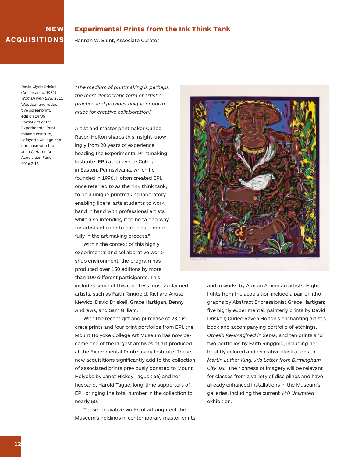## **NEW ACQUISITIONS**

### **Experimental Prints from the Ink Think Tank**

Hannah W. Blunt, Associate Curator

David Clyde Driskell, (American, b. 1931) *Woman with Bird*, 2011 Woodcut and reductive screenprint edition 14/35 Partial gift of the Experimental Printmaking Institute, Lafayette College and purchase with the Jean C. Harris Art Acquisition Fund 2016.2.16

*"The medium of printmaking is perhaps the most democratic form of artistic practice and provides unique opportunities for creative collaboration."*

Artist and master printmaker Curlee Raven Holton shares this insight knowingly from 20 years of experience heading the Experimental Printmaking Institute (EPI) at Lafayette College in Easton, Pennsylvania, which he founded in 1996. Holton created EPI, once referred to as the "ink think tank," to be a unique printmaking laboratory enabling liberal arts students to work hand in hand with professional artists, while also intending it to be "a doorway for artists of color to participate more fully in the art making process."

 Within the context of this highly experimental and collaborative workshop environment, the program has produced over 150 editions by more than 100 different participants. This includes some of this country's most acclaimed artists, such as Faith Ringgold, Richard Anuszkiewicz, David Driskell, Grace Hartigan, Benny Andrews, and Sam Gilliam.

 With the recent gift and purchase of 23 discrete prints and four print portfolios from EPI, the Mount Holyoke College Art Museum has now become one of the largest archives of art produced at the Experimental Printmaking Institute. These new acquisitions significantly add to the collection of associated prints previously donated to Mount Holyoke by Janet Hickey Tague ('66) and her husband, Harold Tague, long-time supporters of EPI, bringing the total number in the collection to nearly 50.

 These innovative works of art augment the Museum's holdings in contemporary master prints



and in works by African American artists. Highlights from the acquisition include a pair of lithographs by Abstract Expressionist Grace Hartigan; five highly experimental, painterly prints by David Driskell; Curlee Raven Holton's enchanting artist's book and accompanying portfolio of etchings, *Othello Re-imagined in Sepia;* and ten prints and two portfolios by Faith Ringgold, including her brightly colored and evocative illustrations to *Martin Luther King, Jr.'s Letter from Birmingham City Jail*. The richness of imagery will be relevant for classes from a variety of disciplines and have already enhanced installations in the Museum's galleries, including the current *140 Unlimited* exhibition.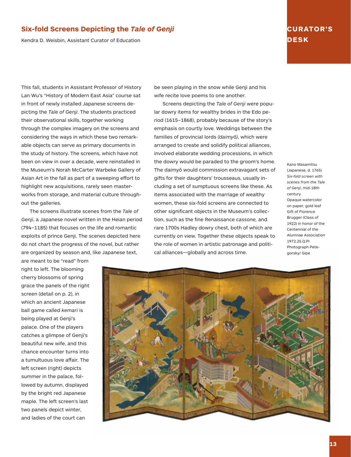## **Six-fold Screens Depicting the** *Tale of Genji*

Kendra D. Weisbin, Assistant Curator of Education

## **CURATOR'S DESK**

This fall, students in Assistant Professor of History Lan Wu's "History of Modern East Asia" course sat in front of newly installed Japanese screens depicting the *Tale of Genji*. The students practiced their observational skills, together working through the complex imagery on the screens and considering the ways in which these two remarkable objects can serve as primary documents in the study of history. The screens, which have not been on view in over a decade, were reinstalled in the Museum's Norah McCarter Warbeke Gallery of Asian Art in the fall as part of a sweeping effort to highlight new acquisitions, rarely seen masterworks from storage, and material culture throughout the galleries.

 The screens illustrate scenes from the *Tale of Genji*, a Japanese novel written in the Heian period (794–1185) that focuses on the life and romantic exploits of prince Genji. The scenes depicted here do not chart the progress of the novel, but rather are organized by season and, like Japanese text,

be seen playing in the snow while Genji and his wife recite love poems to one another.

 Screens depicting the *Tale of Genji* were popular dowry items for wealthy brides in the Edo period (1615–1868), probably because of the story's emphasis on courtly love. Weddings between the families of provincial lords *(daimyô)*, which were arranged to create and solidify political alliances, involved elaborate wedding processions, in which the dowry would be paraded to the groom's home. The daimyô would commission extravagant sets of gifts for their daughters' trousseaus, usually including a set of sumptuous screens like these. As items associated with the marriage of wealthy women, these six-fold screens are connected to other significant objects in the Museum's collection, such as the fine Renaissance *cassone,* and rare 1700s Hadley dowry chest, both of which are currently on view. Together these objects speak to the role of women in artistic patronage and political alliances—globally and across time.

Kano Masamitsu (Japanese, d. 1765) *Six-fold screen with scenes from the Tale of Genji*, mid-18th century Opaque watercolor on paper, gold leaf Gift of Florence Brugger (Class of 1922) in honor of the Centennial of the Alumnae Association 1972.25.Q.PI Photograph Petegorsky/ Gipe

right to left. The blooming cherry blossoms of spring grace the panels of the right screen (detail on p. 2), in which an ancient Japanese ball game called *kemari* is being played at Genji's palace. One of the players catches a glimpse of Genji's beautiful new wife, and this chance encounter turns into a tumultuous love affair. The left screen (right) depicts summer in the palace, followed by autumn, displayed by the bright red Japanese maple. The left screen's last two panels depict winter, and ladies of the court can

are meant to be "read" from

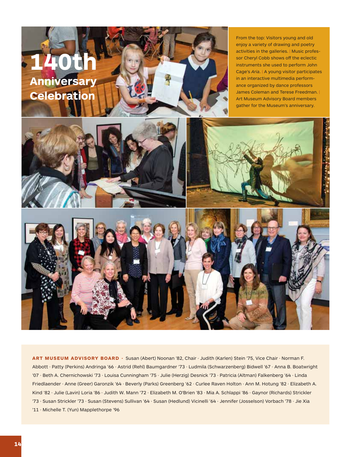

**ART MUSEUM ADVISORY BOARD ·** Susan (Abert) Noonan '82, Chair · Judith (Karlen) Stein '75, Vice Chair · Norman F. Abbott · Patty (Perkins) Andringa '66 · Astrid (Rehl) Baumgardner '73 · Ludmila (Schwarzenberg) Bidwell '67 · Anna B. Boatwright '07 · Beth A. Chernichowski '73 · Louisa Cunningham '75 · Julie (Herzig) Desnick '73 · Patricia (Altman) Falkenberg '64 · Linda Friedlaender · Anne (Greer) Garonzik '64 · Beverly (Parks) Greenberg '62 · Curlee Raven Holton · Ann M. Hotung '82 · Elizabeth A. Kind '82 · Julie (Lavin) Loria '86 · Judith W. Mann '72 · Elizabeth M. O'Brien '83 · Mia A. Schlappi '86 · Gaynor (Richards) Strickler '73 · Susan Strickler '73 · Susan (Stevens) Sullivan '64 · Susan (Hedlund) Vicinelli '64 · Jennifer (Josselson) Vorbach '78 · Jie Xia '11 · Michelle T. (Yun) Mapplethorpe '96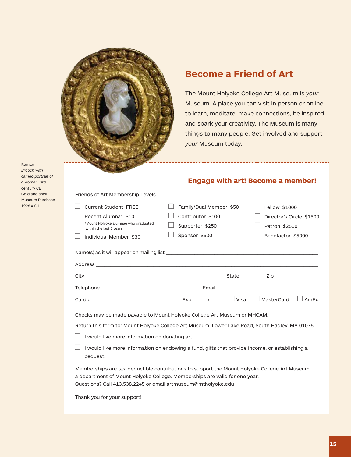

Friends of Art Membership Levels

## **Become a Friend of Art**

The Mount Holyoke College Art Museum is *your* Museum. A place you can visit in person or online to learn, meditate, make connections, be inspired, and spark your creativity. The Museum is many things to many people. Get involved and support *your* Museum today.

Roman *Brooch with cameo portrait of a woman,* 3rd century CE Gold and shell Museum Purchase 1926.4.C.I

## **Engage with art! Become a member!**

| Current Student FREE                                                                                                                                                                                                                         | Family/Dual Member \$50 | Fellow \$1000            |
|----------------------------------------------------------------------------------------------------------------------------------------------------------------------------------------------------------------------------------------------|-------------------------|--------------------------|
| Recent Alumna* \$10                                                                                                                                                                                                                          | Contributor \$100       | Director's Circle \$1500 |
| *Mount Holyoke alumnae who graduated<br>within the last 5 years                                                                                                                                                                              | Supporter \$250         | Patron \$2500            |
| Individual Member \$30                                                                                                                                                                                                                       | Sponsor \$500           | Benefactor \$5000        |
|                                                                                                                                                                                                                                              |                         |                          |
|                                                                                                                                                                                                                                              |                         |                          |
|                                                                                                                                                                                                                                              |                         |                          |
|                                                                                                                                                                                                                                              |                         |                          |
|                                                                                                                                                                                                                                              |                         | $\Box$ AmEx              |
| Checks may be made payable to Mount Holyoke College Art Museum or MHCAM.                                                                                                                                                                     |                         |                          |
| Return this form to: Mount Holyoke College Art Museum, Lower Lake Road, South Hadley, MA 01075                                                                                                                                               |                         |                          |
| I would like more information on donating art.                                                                                                                                                                                               |                         |                          |
| I would like more information on endowing a fund, gifts that provide income, or establishing a<br>bequest.                                                                                                                                   |                         |                          |
| Memberships are tax-deductible contributions to support the Mount Holyoke College Art Museum,<br>a department of Mount Holyoke College. Memberships are valid for one year.<br>Questions? Call 413.538.2245 or email artmuseum@mtholyoke.edu |                         |                          |
| Thank you for your support!                                                                                                                                                                                                                  |                         |                          |
|                                                                                                                                                                                                                                              |                         |                          |